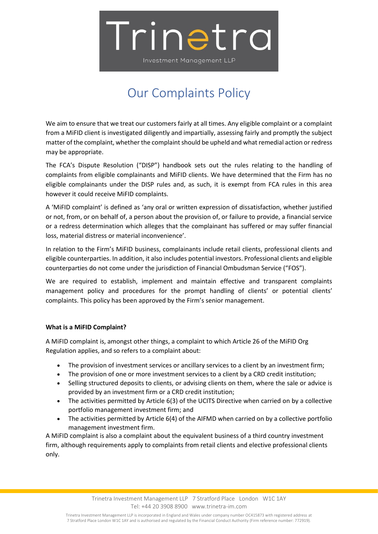

## Our Complaints Policy

We aim to ensure that we treat our customers fairly at all times. Any eligible complaint or a complaint from a MiFID client is investigated diligently and impartially, assessing fairly and promptly the subject matter of the complaint, whether the complaint should be upheld and what remedial action or redress may be appropriate.

The FCA's Dispute Resolution ("DISP") handbook sets out the rules relating to the handling of complaints from eligible complainants and MiFID clients. We have determined that the Firm has no eligible complainants under the DISP rules and, as such, it is exempt from FCA rules in this area however it could receive MiFID complaints.

A 'MiFID complaint' is defined as 'any oral or written expression of dissatisfaction, whether justified or not, from, or on behalf of, a person about the provision of, or failure to provide, a financial service or a redress determination which alleges that the complainant has suffered or may suffer financial loss, material distress or material inconvenience'.

In relation to the Firm's MiFID business, complainants include retail clients, professional clients and eligible counterparties. In addition, it also includes potential investors. Professional clients and eligible counterparties do not come under the jurisdiction of Financial Ombudsman Service ("FOS").

We are required to establish, implement and maintain effective and transparent complaints management policy and procedures for the prompt handling of clients' or potential clients' complaints. This policy has been approved by the Firm's senior management.

### **What is a MiFID Complaint?**

A MiFID complaint is, amongst other things, a complaint to which Article 26 of the MiFID Org Regulation applies, and so refers to a complaint about:

- The provision of investment services or ancillary services to a client by an investment firm;
- The provision of one or more investment services to a client by a CRD credit institution;
- Selling structured deposits to clients, or advising clients on them, where the sale or advice is provided by an investment firm or a CRD credit institution;
- The activities permitted by Article 6(3) of the UCITS Directive when carried on by a collective portfolio management investment firm; and
- The activities permitted by Article 6(4) of the AIFMD when carried on by a collective portfolio management investment firm.

A MiFID complaint is also a complaint about the equivalent business of a third country investment firm, although requirements apply to complaints from retail clients and elective professional clients only.

> Trinetra Investment Management LLP 7 Stratford Place London W1C 1AY Tel: +44 20 3908 8900 www.trinetra-im.com